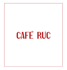# CAFE RUC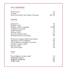### **RUC & TRADITIONS**

| Onion soup                           | 16    |
|--------------------------------------|-------|
| 5 snails                             | 21    |
| Duck parmentier with cepes/foie gras | 26/29 |
| <b>STARTER</b>                       |       |
| Gazpacho                             | 16    |
| Chicken rolls*                       | 16    |
| Philibon melon/culatello             | 15/25 |
| Culatello ham plate                  | 19    |
| Truffle tarama*                      | 16    |
| Salmon tartar                        | 19    |
| Tuna & avocado tartar                | 26    |
| Smoked salmon and toasts             | 25    |
| Artichoke arugula salad & parmesan   | 18    |
| Asparagus and vinaigrette            | 20    |
| «A l'ancienne» tomatoes, burratina   | 19    |
| Chicken Caesar salad                 | 22    |
| Niçoise salad                        | 21    |
| Très verte salad                     | 18    |

## **PASTA**

| Penne Rigate, tomato, basil |      |
|-----------------------------|------|
| Vegetable lasagna           | $22$ |
| Spaghetti bolognese         | $22$ |
| Truffle risotto             | 36   |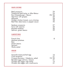# **MAIN COURSE**

 $\overline{\phantom{0}}$ 

| Beef carpaccio                          | 24    |
|-----------------------------------------|-------|
| Traditional beef tartar or Aller-Retour | 24    |
| Ruc Cheeseburger / Bacon                | 25/26 |
| Veal liver with grapes                  | 29    |
| Milanese                                | 28    |
| Golden chicken breast, curry chutney    | 28    |
| Beef filet, béarnaise or pepper sauce   | 45    |
| Seabass carpaccio                       | 27    |
| Tuna with sesame                        | 34    |
| Roasted seabass                         | 30    |
| Salmon, green beans                     | 29    |

### **GARNITURES**

| French fries<br>Mashed potatoes |  |
|---------------------------------|--|
| <b>Rice</b>                     |  |
| Green beans                     |  |
| Spinach                         |  |
| Herbs salad                     |  |

# **SNACK**

 $\overline{\phantom{a}}$ 

| Avocado toast poched egg                                         |       |
|------------------------------------------------------------------|-------|
| Club sandwich                                                    | 21    |
| Croque-Monsieur / Madame, salad                                  | 19/20 |
| Benedict eggs salmon / bacon                                     | 21    |
| Omelet «bio eggs» with herbs<br>Omelet «bio eggs» with mushrooms | 15    |
|                                                                  | 21    |